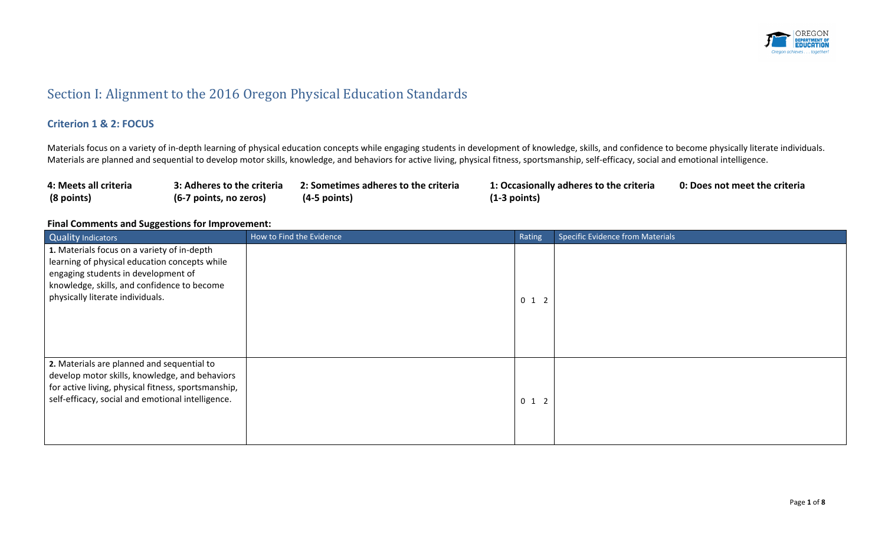

## Section I: Alignment to the 2016 Oregon Physical Education Standards

#### **Criterion 1 & 2: FOCUS**

Materials focus on a variety of in-depth learning of physical education concepts while engaging students in development of knowledge, skills, and confidence to become physically literate individuals. Materials are planned and sequential to develop motor skills, knowledge, and behaviors for active living, physical fitness, sportsmanship, self-efficacy, social and emotional intelligence.

| 4: Meets all criteria | 3: Adheres to the criteria | 2: Sometimes adheres to the criteria | 1: Occasionally adheres to the criteria | 0: Does not meet the criteria |
|-----------------------|----------------------------|--------------------------------------|-----------------------------------------|-------------------------------|
| (8 points)            | (6-7 points, no zeros)     | $(4-5$ points)                       | $(1-3$ points)                          |                               |

| Quality Indicators                                                                                                                                                                                                     | How to Find the Evidence | Rating  | <b>Specific Evidence from Materials</b> |
|------------------------------------------------------------------------------------------------------------------------------------------------------------------------------------------------------------------------|--------------------------|---------|-----------------------------------------|
| 1. Materials focus on a variety of in-depth<br>learning of physical education concepts while<br>engaging students in development of<br>knowledge, skills, and confidence to become<br>physically literate individuals. |                          | $0$ 1 2 |                                         |
| 2. Materials are planned and sequential to<br>develop motor skills, knowledge, and behaviors<br>for active living, physical fitness, sportsmanship,<br>self-efficacy, social and emotional intelligence.               |                          | $0$ 1 2 |                                         |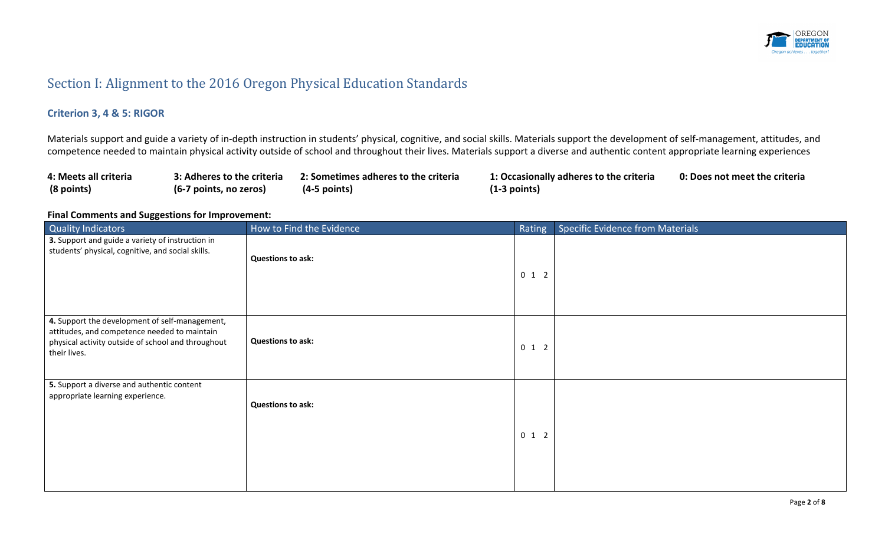

## Section I: Alignment to the 2016 Oregon Physical Education Standards

### **Criterion 3, 4 & 5: RIGOR**

Materials support and guide a variety of in-depth instruction in students' physical, cognitive, and social skills. Materials support the development of self-management, attitudes, and competence needed to maintain physical activity outside of school and throughout their lives. Materials support a diverse and authentic content appropriate learning experiences

| 4: Meets all criteria | 3: Adheres to the criteria | 2: Sometimes adheres to the criteria | 1: Occasionally adheres to the criteria | 0: Does not meet the criteria |
|-----------------------|----------------------------|--------------------------------------|-----------------------------------------|-------------------------------|
| (8 points)            | (6-7 points, no zeros)     | $(4-5$ points)                       | $(1-3$ points)                          |                               |

| - 99<br>Quality Indicators                                                                                                                                           | How to Find the Evidence | Rating  | <b>Specific Evidence from Materials</b> |
|----------------------------------------------------------------------------------------------------------------------------------------------------------------------|--------------------------|---------|-----------------------------------------|
| 3. Support and guide a variety of instruction in<br>students' physical, cognitive, and social skills.                                                                | <b>Questions to ask:</b> | $0$ 1 2 |                                         |
| 4. Support the development of self-management,<br>attitudes, and competence needed to maintain<br>physical activity outside of school and throughout<br>their lives. | <b>Questions to ask:</b> | $0$ 1 2 |                                         |
| 5. Support a diverse and authentic content<br>appropriate learning experience.                                                                                       | <b>Questions to ask:</b> | $0$ 1 2 |                                         |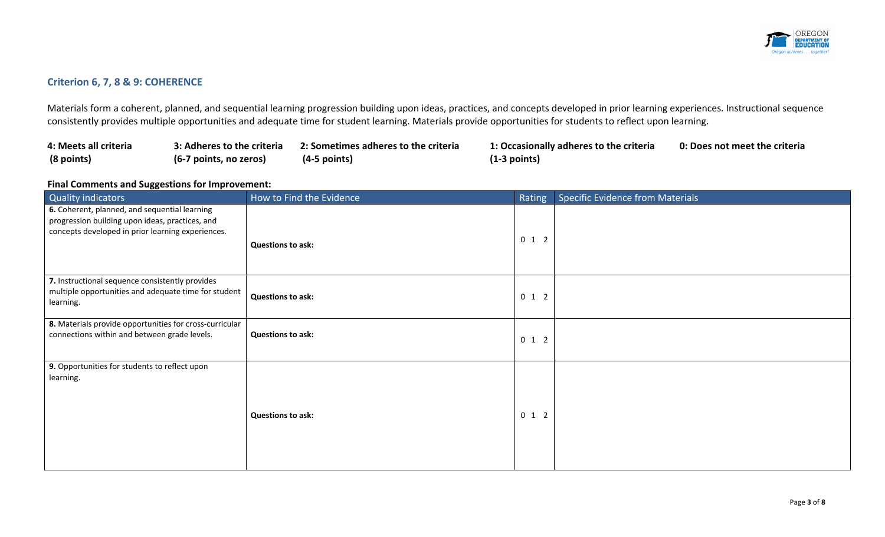

### **Criterion 6, 7, 8 & 9: COHERENCE**

Materials form a coherent, planned, and sequential learning progression building upon ideas, practices, and concepts developed in prior learning experiences. Instructional sequence consistently provides multiple opportunities and adequate time for student learning. Materials provide opportunities for students to reflect upon learning.

| 4: Meets all criteria | 3: Adheres to the criteria | 2: Sometimes adheres to the criteria | 1: Occasionally adheres to the criteria | 0: Does not meet the criteria |
|-----------------------|----------------------------|--------------------------------------|-----------------------------------------|-------------------------------|
| (8 points)            | (6-7 points, no zeros)     | $(4-5$ points)                       | (1-3 points)                            |                               |

| <b>Quality indicators</b>                                                                                                                             | How to Find the Evidence | Rating  | <b>Specific Evidence from Materials</b> |
|-------------------------------------------------------------------------------------------------------------------------------------------------------|--------------------------|---------|-----------------------------------------|
| 6. Coherent, planned, and sequential learning<br>progression building upon ideas, practices, and<br>concepts developed in prior learning experiences. | <b>Questions to ask:</b> | $0$ 1 2 |                                         |
| 7. Instructional sequence consistently provides<br>multiple opportunities and adequate time for student<br>learning.                                  | <b>Questions to ask:</b> | $0$ 1 2 |                                         |
| 8. Materials provide opportunities for cross-curricular<br>connections within and between grade levels.                                               | <b>Questions to ask:</b> | $0$ 1 2 |                                         |
| 9. Opportunities for students to reflect upon<br>learning.                                                                                            | <b>Questions to ask:</b> | $0$ 1 2 |                                         |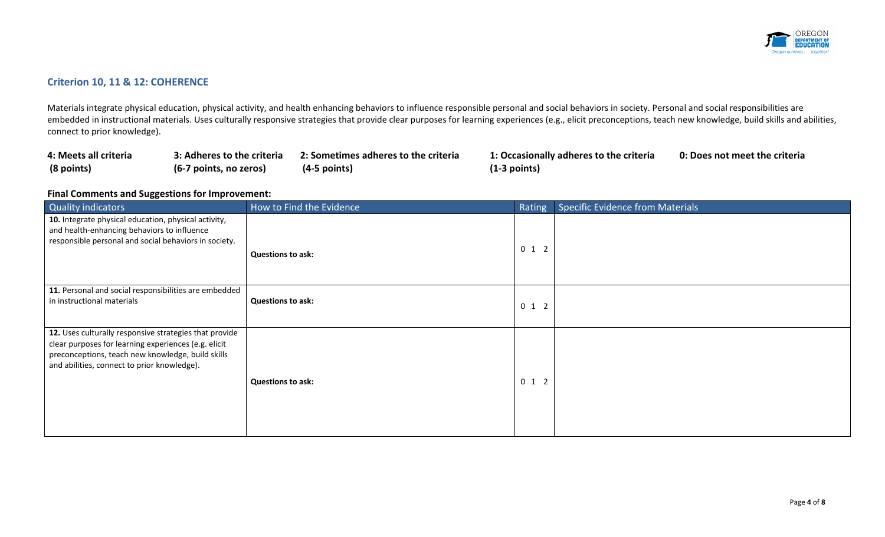

### **Criterion 10, 11 & 12: COHERENCE**

Materials integrate physical education, physical activity, and health enhancing behaviors to influence responsible personal and social behaviors in society. Personal and social responsibilities are embedded in instructional materials. Uses culturally responsive strategies that provide clear purposes for learning experiences (e.g., elicit preconceptions, teach new knowledge, build skills and abilities, connect to prior knowledge).

| 4: Meets all criteria | 3: Adheres to the criteria | 2: Sometimes adheres to the criteria | 1: Occasion    |
|-----------------------|----------------------------|--------------------------------------|----------------|
| (8 points)            | (6-7 points, no zeros)     | $(4-5$ points)                       | $(1-3$ points) |

**4: Meets all criteria 3: Adheres to the criteria 2: Sometimes adheres to the criteria 1: Occasionally adheres to the criteria 0: Does not meet the criteria**

| <b>Quality indicators</b>                                                                                                                                                                                          | How to Find the Evidence | Rating  | Specific Evidence from Materials |
|--------------------------------------------------------------------------------------------------------------------------------------------------------------------------------------------------------------------|--------------------------|---------|----------------------------------|
| 10. Integrate physical education, physical activity,<br>and health-enhancing behaviors to influence<br>responsible personal and social behaviors in society.                                                       | <b>Questions to ask:</b> | $0$ 1 2 |                                  |
| 11. Personal and social responsibilities are embedded<br>in instructional materials                                                                                                                                | <b>Questions to ask:</b> | $0$ 1 2 |                                  |
| 12. Uses culturally responsive strategies that provide<br>clear purposes for learning experiences (e.g. elicit<br>preconceptions, teach new knowledge, build skills<br>and abilities, connect to prior knowledge). | <b>Questions to ask:</b> | $0$ 1 2 |                                  |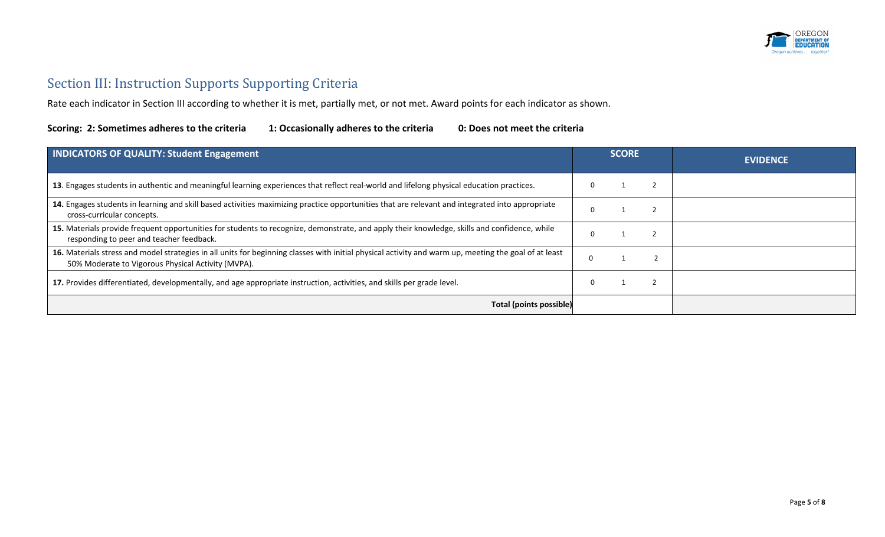

# Section III: Instruction Supports Supporting Criteria

Rate each indicator in Section III according to whether it is met, partially met, or not met. Award points for each indicator as shown.

| <b>INDICATORS OF QUALITY: Student Engagement</b>                                                                                                                                                            | <b>SCORE</b> |  | <b>EVIDENCE</b> |
|-------------------------------------------------------------------------------------------------------------------------------------------------------------------------------------------------------------|--------------|--|-----------------|
| 13. Engages students in authentic and meaningful learning experiences that reflect real-world and lifelong physical education practices.                                                                    |              |  |                 |
| 14. Engages students in learning and skill based activities maximizing practice opportunities that are relevant and integrated into appropriate<br>cross-curricular concepts.                               |              |  |                 |
| 15. Materials provide frequent opportunities for students to recognize, demonstrate, and apply their knowledge, skills and confidence, while<br>responding to peer and teacher feedback.                    |              |  |                 |
| 16. Materials stress and model strategies in all units for beginning classes with initial physical activity and warm up, meeting the goal of at least<br>50% Moderate to Vigorous Physical Activity (MVPA). |              |  |                 |
| 17. Provides differentiated, developmentally, and age appropriate instruction, activities, and skills per grade level.                                                                                      |              |  |                 |
| Total (points possible)                                                                                                                                                                                     |              |  |                 |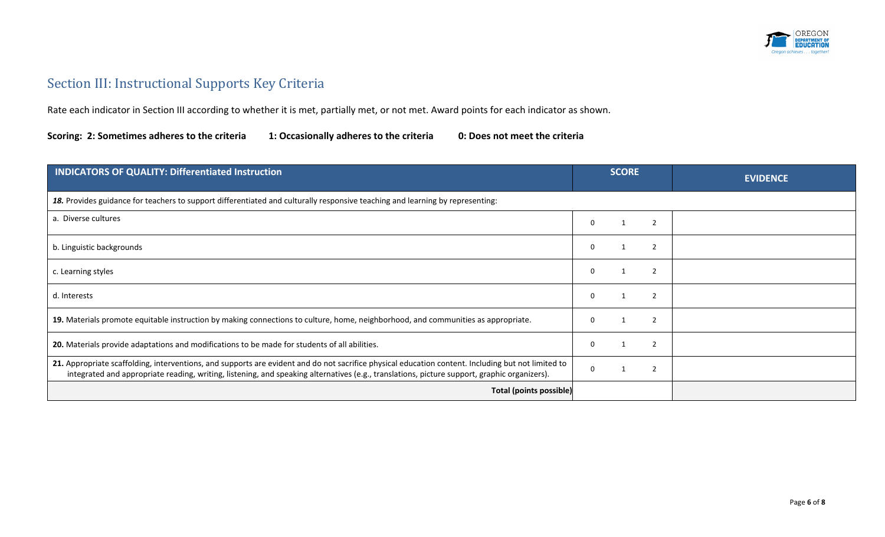

## Section III: Instructional Supports Key Criteria

Rate each indicator in Section III according to whether it is met, partially met, or not met. Award points for each indicator as shown.

| <b>INDICATORS OF QUALITY: Differentiated Instruction</b>                                                                                                                                                                                                                                           | <b>SCORE</b>                         | <b>EVIDENCE</b> |
|----------------------------------------------------------------------------------------------------------------------------------------------------------------------------------------------------------------------------------------------------------------------------------------------------|--------------------------------------|-----------------|
| 18. Provides guidance for teachers to support differentiated and culturally responsive teaching and learning by representing:                                                                                                                                                                      |                                      |                 |
| a. Diverse cultures                                                                                                                                                                                                                                                                                | $\overline{\phantom{a}}$<br>$\Omega$ |                 |
| b. Linguistic backgrounds                                                                                                                                                                                                                                                                          | $\overline{\phantom{a}}$<br>$\Omega$ |                 |
| c. Learning styles                                                                                                                                                                                                                                                                                 | $\overline{2}$<br>0<br>-1            |                 |
| d. Interests                                                                                                                                                                                                                                                                                       | $\overline{2}$<br>$\Omega$           |                 |
| 19. Materials promote equitable instruction by making connections to culture, home, neighborhood, and communities as appropriate.                                                                                                                                                                  | $\overline{\phantom{a}}$<br>$\Omega$ |                 |
| 20. Materials provide adaptations and modifications to be made for students of all abilities.                                                                                                                                                                                                      | $\overline{2}$<br>$\Omega$           |                 |
| 21. Appropriate scaffolding, interventions, and supports are evident and do not sacrifice physical education content. Including but not limited to<br>integrated and appropriate reading, writing, listening, and speaking alternatives (e.g., translations, picture support, graphic organizers). | $\overline{\phantom{a}}$             |                 |
| <b>Total (points possible)</b>                                                                                                                                                                                                                                                                     |                                      |                 |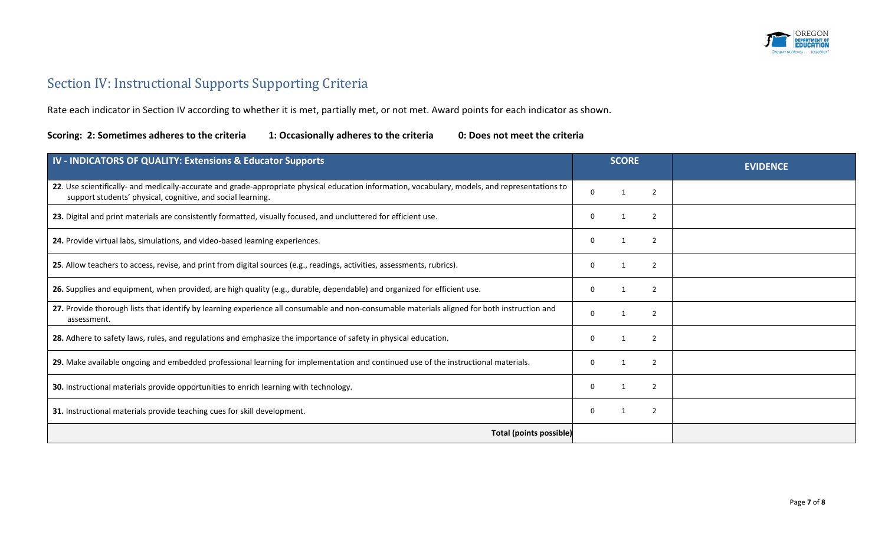

## Section IV: Instructional Supports Supporting Criteria

Rate each indicator in Section IV according to whether it is met, partially met, or not met. Award points for each indicator as shown.

| IV - INDICATORS OF QUALITY: Extensions & Educator Supports                                                                                                                                                     | <b>SCORE</b> |  |                | <b>EVIDENCE</b> |
|----------------------------------------------------------------------------------------------------------------------------------------------------------------------------------------------------------------|--------------|--|----------------|-----------------|
| 22. Use scientifically- and medically-accurate and grade-appropriate physical education information, vocabulary, models, and representations to<br>support students' physical, cognitive, and social learning. | $\Omega$     |  | 2              |                 |
| 23. Digital and print materials are consistently formatted, visually focused, and uncluttered for efficient use.                                                                                               | 0            |  | 2              |                 |
| 24. Provide virtual labs, simulations, and video-based learning experiences.                                                                                                                                   | 0            |  | $\overline{2}$ |                 |
| 25. Allow teachers to access, revise, and print from digital sources (e.g., readings, activities, assessments, rubrics).                                                                                       | 0            |  | $\mathcal{P}$  |                 |
| 26. Supplies and equipment, when provided, are high quality (e.g., durable, dependable) and organized for efficient use.                                                                                       | 0            |  | 2              |                 |
| 27. Provide thorough lists that identify by learning experience all consumable and non-consumable materials aligned for both instruction and<br>assessment.                                                    | $\Omega$     |  | 2              |                 |
| 28. Adhere to safety laws, rules, and regulations and emphasize the importance of safety in physical education.                                                                                                | 0            |  | $\overline{2}$ |                 |
| 29. Make available ongoing and embedded professional learning for implementation and continued use of the instructional materials.                                                                             | $\Omega$     |  | $\overline{2}$ |                 |
| 30. Instructional materials provide opportunities to enrich learning with technology.                                                                                                                          | 0            |  | 2              |                 |
| 31. Instructional materials provide teaching cues for skill development.                                                                                                                                       | 0            |  | $\overline{2}$ |                 |
| <b>Total (points possible)</b>                                                                                                                                                                                 |              |  |                |                 |